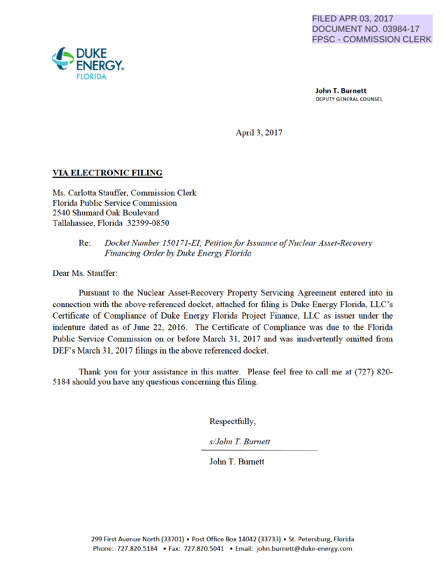**John T. Burnett**  DEPUTY GENERAL COUNSEL

April 3, 2017

# **VIA ELECTRONIC FILING**

Ms. Carlotta Stauffer, Commission Clerk Florida Public Service Commission 2540 Shumard Oak Boulevard Tallahassee, Florida 32399-0850

# Re: *Docket Number 150171-EI; Petition for Issuance of Nuclear Asset-Recovery Financing Order by Duke Energy Florida*

Dear Ms. Stauffer:

Pursuant to the Nuclear Asset-Recovery Property Servicing Agreement entered into in connection with the above-referenced docket, attached for filing is Duke Energy Florida, LLC's Certificate of Compliance of Duke Energy Florida Project Finance, LLC as issuer under the indenture dated as of June 22, 2016. The Certificate of Compliance was due to the Florida Public Service Commission on or before March 31, 2017 and was inadvertently omitted from DEF's March 31, 2017 filings in the above referenced docket. Phone: 727.820.522.2016<br>
Phone: 72.820.5184 • Fax: 727.820.5041 • Fax: 727.820.5041 • Fax: 727.820.5041 • Fax: 727.820.5041 • Fax: 727.820.5041 • Fax: 727.820.5041 • Email:  $\frac{1}{2}$  State of Complement Controllege (Somet

Thank you for your assistance in this matter. Please feel free to call me at (727) 820- 5184 should you have any questions conceming this filing.

Respectfully,

*s/John T. Burnett* 

John T. Bumett

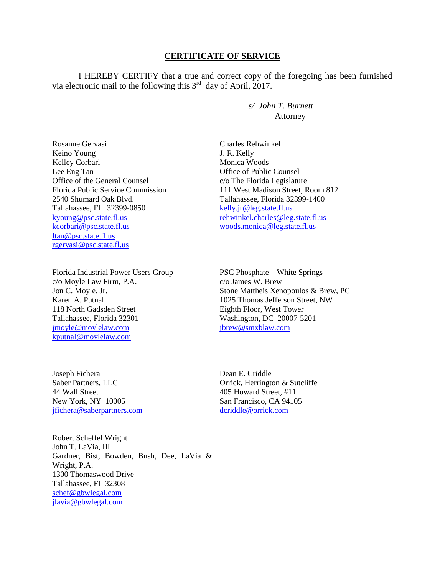### **CERTIFICATE OF SERVICE**

I HEREBY CERTIFY that a true and correct copy of the foregoing has been furnished via electronic mail to the following this  $3<sup>rd</sup>$  day of April, 2017.

> *s/ John T. Burnett*  Attorney

Rosanne Gervasi Keino Young Kelley Corbari Lee Eng Tan Office of the General Counsel Florida Public Service Commission 2540 Shumard Oak Blvd. Tallahassee, FL 32399-0850 kyoung@psc.state.fl.us kcorbari@psc.state.fl.us ltan@psc.state.fl.us rgervasi@psc.state.fl.us

Florida Industrial Power Users Group c/o Moyle Law Firm, P.A. Jon C. Moyle, Jr. Karen A. Putnal 118 North Gadsden Street Tallahassee, Florida 32301 jmoyle@moylelaw.com kputnal@moylelaw.com

Charles Rehwinkel J. R. Kelly Monica Woods Office of Public Counsel c/o The Florida Legislature 111 West Madison Street, Room 812 Tallahassee, Florida 32399-1400 kelly.jr@leg.state.fl.us rehwinkel.charles@leg.state.fl.us woods.monica@leg.state.fl.us

PSC Phosphate – White Springs c/o James W. Brew Stone Mattheis Xenopoulos & Brew, PC 1025 Thomas Jefferson Street, NW Eighth Floor, West Tower Washington, DC 20007-5201 jbrew@smxblaw.com

Joseph Fichera Saber Partners, LLC 44 Wall Street New York, NY 10005 jfichera@saberpartners.com

Robert Scheffel Wright John T. LaVia, III Gardner, Bist, Bowden, Bush, Dee, LaVia & Wright, P.A. 1300 Thomaswood Drive Tallahassee, FL 32308 schef@gbwlegal.com jlavia@gbwlegal.com

Dean E. Criddle Orrick, Herrington & Sutcliffe 405 Howard Street, #11 San Francisco, CA 94105 dcriddle@orrick.com